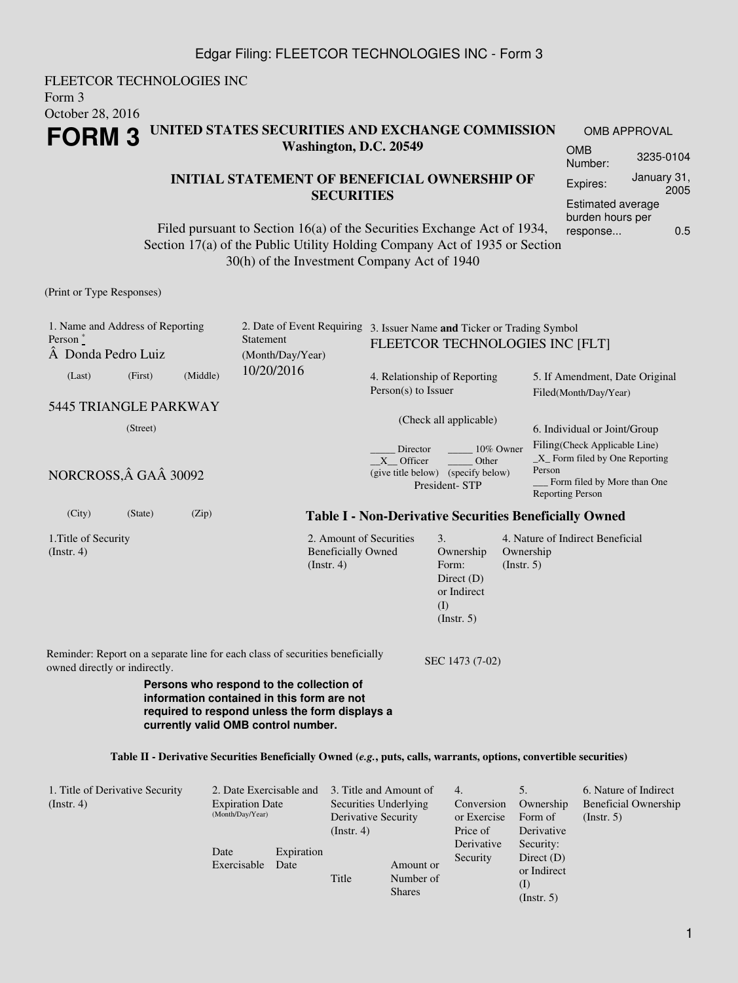### Edgar Filing: FLEETCOR TECHNOLOGIES INC - Form 3

FLEETCOR TECHNOLOGIES INC Form 3 October 28, 2016 **FORM 3 UNITED STATES SECURITIES AND EXCHANGE COMMISSION Washington, D.C. 20549** OMB APPROVAL OMB Number: 3235-0104

### **INITIAL STATEMENT OF BENEFICIAL OWNERSHIP OF SECURITIES**

Filed pursuant to Section 16(a) of the Securities Exchange Act of 1934, Section 17(a) of the Public Utility Holding Company Act of 1935 or Section 30(h) of the Investment Company Act of 1940

## (Print or Type Responses)

| 1. Name and Address of Reporting<br>Person $*$<br>Donda Pedro Luiz |         |          | Statement<br>(Month/Day/Year)                                                                                                                                                   |                                                                        | 2. Date of Event Requiring 3. Issuer Name and Ticker or Trading Symbol<br>FLEETCOR TECHNOLOGIES INC [FLT] |                                                       |                                                                                                                                      |  |  |  |
|--------------------------------------------------------------------|---------|----------|---------------------------------------------------------------------------------------------------------------------------------------------------------------------------------|------------------------------------------------------------------------|-----------------------------------------------------------------------------------------------------------|-------------------------------------------------------|--------------------------------------------------------------------------------------------------------------------------------------|--|--|--|
| (Last)                                                             | (First) | (Middle) | 10/20/2016                                                                                                                                                                      |                                                                        | 4. Relationship of Reporting<br>$Person(s)$ to Issuer                                                     |                                                       | 5. If Amendment, Date Original<br>Filed(Month/Day/Year)                                                                              |  |  |  |
| 5445 TRIANGLE PARKWAY                                              |         |          |                                                                                                                                                                                 |                                                                        |                                                                                                           |                                                       |                                                                                                                                      |  |  |  |
| (Street)                                                           |         |          |                                                                                                                                                                                 |                                                                        | (Check all applicable)                                                                                    |                                                       | 6. Individual or Joint/Group                                                                                                         |  |  |  |
| NORCROSS, Â GAÂ 30092                                              |         |          |                                                                                                                                                                                 | Director<br>X Officer                                                  | 10% Owner<br>Other<br>(give title below) (specify below)<br>President-STP                                 |                                                       | Filing(Check Applicable Line)<br>$X$ Form filed by One Reporting<br>Person<br>Form filed by More than One<br><b>Reporting Person</b> |  |  |  |
| (City)                                                             | (State) | (Zip)    |                                                                                                                                                                                 |                                                                        |                                                                                                           |                                                       | <b>Table I - Non-Derivative Securities Beneficially Owned</b>                                                                        |  |  |  |
| 1. Title of Security<br>$($ Instr. 4 $)$                           |         |          | <b>Beneficially Owned</b><br>(Insert. 4)                                                                                                                                        | 2. Amount of Securities                                                | 3.<br>Ownership<br>Form:<br>Direct $(D)$<br>or Indirect<br>(I)<br>(Insert. 5)                             | Ownership<br>(Insert. 5)                              | 4. Nature of Indirect Beneficial                                                                                                     |  |  |  |
| owned directly or indirectly.                                      |         |          | Reminder: Report on a separate line for each class of securities beneficially                                                                                                   |                                                                        | SEC 1473 (7-02)                                                                                           |                                                       |                                                                                                                                      |  |  |  |
|                                                                    |         |          | Persons who respond to the collection of<br>information contained in this form are not<br>required to respond unless the form displays a<br>currently valid OMB control number. |                                                                        |                                                                                                           |                                                       |                                                                                                                                      |  |  |  |
|                                                                    |         |          | Table II - Derivative Securities Beneficially Owned (e.g., puts, calls, warrants, options, convertible securities)                                                              |                                                                        |                                                                                                           |                                                       |                                                                                                                                      |  |  |  |
| 1. Title of Derivative Security<br>(Insert. 4)                     |         |          | 2. Date Exercisable and<br><b>Expiration Date</b><br>(Month/Day/Year)<br>(Instr. 4)                                                                                             | 3. Title and Amount of<br>Securities Underlying<br>Derivative Security | 4.<br>Conversion<br>or Exercise<br>Price of<br>Derivative                                                 | 5.<br>Ownership<br>Form of<br>Derivative<br>Security: | 6. Nature of Indirect<br><b>Beneficial Ownership</b><br>(Insert. 5)                                                                  |  |  |  |

Date

Exercisable Date

Expiration

Title

Security

Amount or Number of Shares

Direct (D) or Indirect (I) (Instr. 5)

Expires: January 31,

Estimated average burden hours per response... 0.5

2005